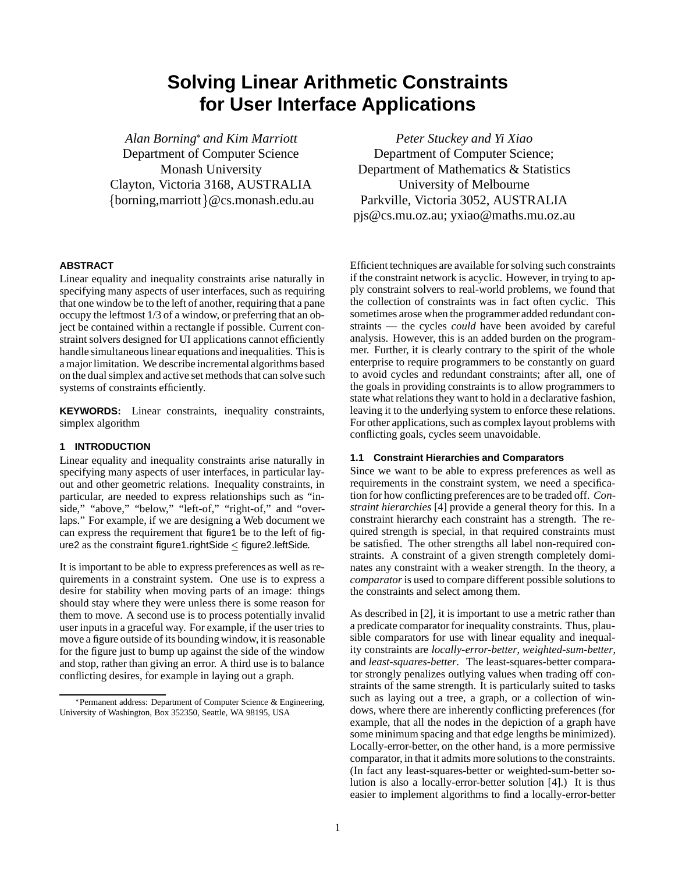# **Solving Linear Arithmetic Constraints for User Interface Applications**

*Alan Borning and Kim Marriott* Department of Computer Science Monash University Clayton, Victoria 3168, AUSTRALIA {borning, marriott} @cs.monash.edu.au

# **ABSTRACT**

Linear equality and inequality constraints arise naturally in specifying many aspects of user interfaces, such as requiring that one window be to the left of another, requiring that a pane occupy the leftmost 1/3 of a window, or preferring that an object be contained within a rectangle if possible. Current constraint solvers designed for UI applications cannot efficiently handle simultaneous linear equations and inequalities. This is a major limitation. We describe incremental algorithms based on the dual simplex and active set methods that can solve such systems of constraints efficiently.

**KEYWORDS:** Linear constraints, inequality constraints, simplex algorithm

## **1 INTRODUCTION**

Linear equality and inequality constraints arise naturally in specifying many aspects of user interfaces, in particular layout and other geometric relations. Inequality constraints, in particular, are needed to express relationships such as "inside," "above," "below," "left-of," "right-of," and "overlaps." For example, if we are designing a Web document we can express the requirement that figure1 be to the left of figure2 as the constraint figure1.rightSide  $\leq$  figure2.leftSide.

It is important to be able to express preferences as well as requirements in a constraint system. One use is to express a desire for stability when moving parts of an image: things should stay where they were unless there is some reason for them to move. A second use is to process potentially invalid user inputs in a graceful way. For example, if the user tries to move a figure outside of its bounding window, it is reasonable for the figure just to bump up against the side of the window and stop, rather than giving an error. A third use is to balance conflicting desires, for example in laying out a graph.

*Peter Stuckey and Yi Xiao* Department of Computer Science; Department of Mathematics & Statistics University of Melbourne Parkville, Victoria 3052, AUSTRALIA pjs@cs.mu.oz.au; yxiao@maths.mu.oz.au

Efficient techniques are available for solving such constraints if the constraint network is acyclic. However, in trying to apply constraint solvers to real-world problems, we found that the collection of constraints was in fact often cyclic. This sometimes arose when the programmer added redundant constraints — the cycles *could* have been avoided by careful analysis. However, this is an added burden on the programmer. Further, it is clearly contrary to the spirit of the whole enterprise to require programmers to be constantly on guard to avoid cycles and redundant constraints; after all, one of the goals in providing constraints is to allow programmers to state what relations they want to hold in a declarative fashion, leaving it to the underlying system to enforce these relations. For other applications, such as complex layout problems with conflicting goals, cycles seem unavoidable.

### **1.1 Constraint Hierarchies and Comparators**

Since we want to be able to express preferences as well as requirements in the constraint system, we need a specification for how conflicting preferences are to be traded off. *Constraint hierarchies* [4] provide a general theory for this. In a constraint hierarchy each constraint has a strength. The required strength is special, in that required constraints must be satisfied. The other strengths all label non-required constraints. A constraint of a given strength completely dominates any constraint with a weaker strength. In the theory, a *comparator*is used to compare different possible solutions to the constraints and select among them.

As described in [2], it is important to use a metric rather than a predicate comparator for inequality constraints. Thus, plausible comparators for use with linear equality and inequality constraints are *locally-error-better*, *weighted-sum-better*, and *least-squares-better*. The least-squares-better comparator strongly penalizes outlying values when trading off constraints of the same strength. It is particularly suited to tasks such as laying out a tree, a graph, or a collection of windows, where there are inherently conflicting preferences (for example, that all the nodes in the depiction of a graph have some minimum spacing and that edge lengths be minimized). Locally-error-better, on the other hand, is a more permissive comparator, in that it admits more solutions to the constraints. (In fact any least-squares-better or weighted-sum-better solution is also a locally-error-better solution [4].) It is thus easier to implement algorithms to find a locally-error-better

Permanent address: Department of Computer Science & Engineering, University of Washington, Box 352350, Seattle, WA 98195, USA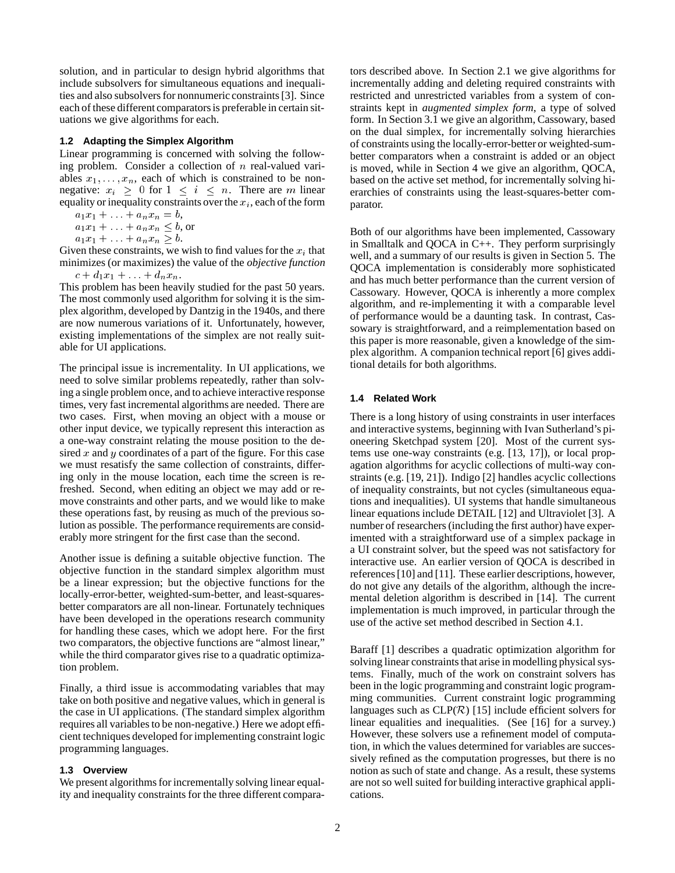solution, and in particular to design hybrid algorithms that include subsolvers for simultaneous equations and inequalities and also subsolvers for nonnumeric constraints [3]. Since each of these different comparators is preferable in certain situations we give algorithms for each.

### **1.2 Adapting the Simplex Algorithm**

Linear programming is concerned with solving the following problem. Consider a collection of  $n$  real-valued variables  $x_1, \ldots, x_n$ , each of which is constrained to be nonnegative:  $x_i \geq 0$  for  $1 \leq i \leq n$ . There are m linear equality or inequality constraints over the  $x_i$ , each of the form

 $a_1x_1 + \ldots + a_nx_n = b,$ 

 $a_1x_1 + \ldots + a_nx_n \leq b$ , or

 $a_1x_1 + \ldots + a_nx_n \geq b.$ 

Given these constraints, we wish to find values for the  $x_i$  that minimizes (or maximizes) the value of the *objective function*  $c + d_1x_1 + \ldots + d_nx_n$ .

This problem has been heavily studied for the past 50 years. The most commonly used algorithm for solving it is the simplex algorithm, developed by Dantzig in the 1940s, and there are now numerous variations of it. Unfortunately, however, existing implementations of the simplex are not really suitable for UI applications.

The principal issue is incrementality. In UI applications, we need to solve similar problems repeatedly, rather than solving a single problem once, and to achieve interactive response times, very fast incremental algorithms are needed. There are two cases. First, when moving an object with a mouse or other input device, we typically represent this interaction as a one-way constraint relating the mouse position to the desired  $x$  and  $y$  coordinates of a part of the figure. For this case we must resatisfy the same collection of constraints, differing only in the mouse location, each time the screen is refreshed. Second, when editing an object we may add or remove constraints and other parts, and we would like to make these operations fast, by reusing as much of the previous solution as possible. The performance requirements are considerably more stringent for the first case than the second.

Another issue is defining a suitable objective function. The objective function in the standard simplex algorithm must be a linear expression; but the objective functions for the locally-error-better, weighted-sum-better, and least-squaresbetter comparators are all non-linear. Fortunately techniques have been developed in the operations research community for handling these cases, which we adopt here. For the first two comparators, the objective functions are "almost linear," while the third comparator gives rise to a quadratic optimization problem.

Finally, a third issue is accommodating variables that may take on both positive and negative values, which in general is the case in UI applications. (The standard simplex algorithm requires all variables to be non-negative.) Here we adopt efficient techniques developed for implementing constraint logic programming languages.

#### **1.3 Overview**

We present algorithms for incrementally solving linear equality and inequality constraints for the three different compara-

tors described above. In Section 2.1 we give algorithms for incrementally adding and deleting required constraints with restricted and unrestricted variables from a system of constraints kept in *augmented simplex form*, a type of solved form. In Section 3.1 we give an algorithm, Cassowary, based on the dual simplex, for incrementally solving hierarchies of constraints using the locally-error-better or weighted-sumbetter comparators when a constraint is added or an object is moved, while in Section 4 we give an algorithm, QOCA, based on the active set method, for incrementally solving hierarchies of constraints using the least-squares-better comparator.

Both of our algorithms have been implemented, Cassowary in Smalltalk and QOCA in C++. They perform surprisingly well, and a summary of our results is given in Section 5. The QOCA implementation is considerably more sophisticated and has much better performance than the current version of Cassowary. However, QOCA is inherently a more complex algorithm, and re-implementing it with a comparable level of performance would be a daunting task. In contrast, Cassowary is straightforward, and a reimplementation based on this paper is more reasonable, given a knowledge of the simplex algorithm. A companion technical report [6] gives additional details for both algorithms.

## **1.4 Related Work**

There is a long history of using constraints in user interfaces and interactive systems, beginning with Ivan Sutherland's pioneering Sketchpad system [20]. Most of the current systems use one-way constraints (e.g. [13, 17]), or local propagation algorithms for acyclic collections of multi-way constraints (e.g. [19, 21]). Indigo [2] handles acyclic collections of inequality constraints, but not cycles (simultaneous equations and inequalities). UI systems that handle simultaneous linear equations include DETAIL [12] and Ultraviolet [3]. A number of researchers (including the first author) have experimented with a straightforward use of a simplex package in a UI constraint solver, but the speed was not satisfactory for interactive use. An earlier version of QOCA is described in references [10] and [11]. These earlier descriptions, however, do not give any details of the algorithm, although the incremental deletion algorithm is described in [14]. The current implementation is much improved, in particular through the use of the active set method described in Section 4.1.

Baraff [1] describes a quadratic optimization algorithm for solving linear constraints that arise in modelling physical systems. Finally, much of the work on constraint solvers has been in the logic programming and constraint logic programming communities. Current constraint logic programming languages such as  $CLP(\mathcal{R})$  [15] include efficient solvers for linear equalities and inequalities. (See [16] for a survey.) However, these solvers use a refinement model of computation, in which the values determined for variables are successively refined as the computation progresses, but there is no notion as such of state and change. As a result, these systems are not so well suited for building interactive graphical applications.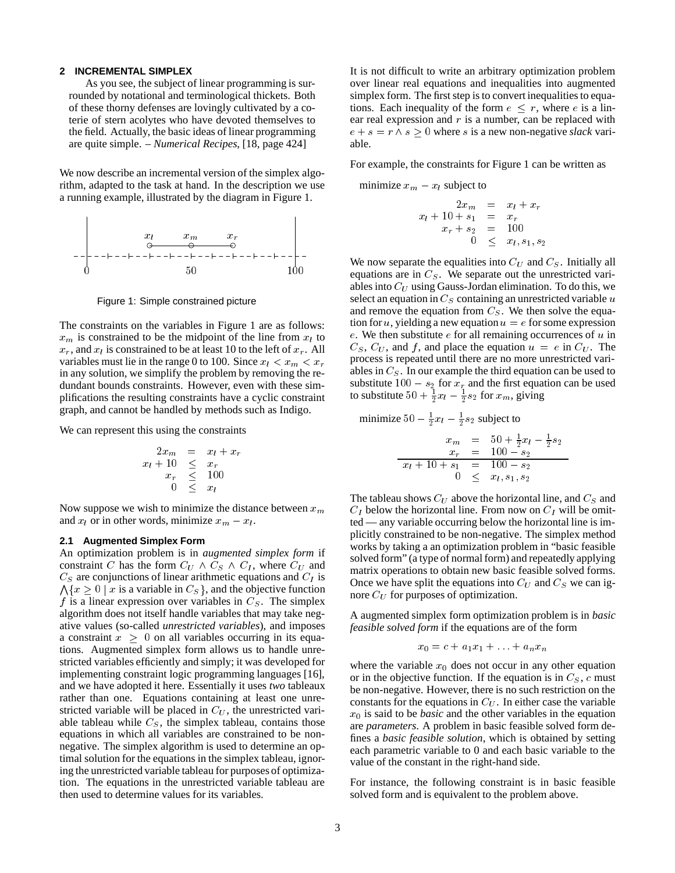#### **2 INCREMENTAL SIMPLEX**

As you see, the subject of linear programming is surrounded by notational and terminological thickets. Both of these thorny defenses are lovingly cultivated by a coterie of stern acolytes who have devoted themselves to the field. Actually, the basic ideas of linear programming are quite simple. – *Numerical Recipes*, [18, page 424]

We now describe an incremental version of the simplex algorithm, adapted to the task at hand. In the description we use a running example, illustrated by the diagram in Figure 1.



Figure 1: Simple constrained picture

The constraints on the variables in Figure 1 are as follows:  $x_m$  is constrained to be the midpoint of the line from  $x_l$  to  $x_r$ , and  $x_l$  is constrained to be at least 10 to the left of  $x_r$ . All variables must lie in the range 0 to 100. Since  $x_l < x_m < x_r$ in any solution, we simplify the problem by removing the redundant bounds constraints. However, even with these simplifications the resulting constraints have a cyclic constraint graph, and cannot be handled by methods such as Indigo.

We can represent this using the constraints

$$
2x_m = x_l + x_r
$$
  
\n
$$
x_l + 10 \leq x_r
$$
  
\n
$$
x_r \leq 100
$$
  
\n
$$
0 \leq x_l
$$

Now suppose we wish to minimize the distance between  $x_m$ and  $x_l$  or in other words, minimize  $x_m - x_l$ .

## **2.1 Augmented Simplex Form**

An optimization problem is in *augmented simplex form* if constraint C has the form  $C_U \wedge C_S \wedge C_I$ , where  $C_U$  and  $C_S$  are conjunctions of linear arithmetic equations and  $C_I$  is  $\bigwedge \{x \geq 0 \mid x \text{ is a variable in } C_S\}$ , and the objective function f is a linear expression over variables in  $C_S$ . The simplex algorithm does not itself handle variables that may take negative values (so-called *unrestricted variables*), and imposes a constraint  $x \geq 0$  on all variables occurring in its equations. Augmented simplex form allows us to handle unrestricted variables efficiently and simply; it was developed for implementing constraint logic programming languages [16], and we have adopted it here. Essentially it uses *two* tableaux rather than one. Equations containing at least one unrestricted variable will be placed in  $C_U$ , the unrestricted variable tableau while  $C_S$ , the simplex tableau, contains those equations in which all variables are constrained to be nonnegative. The simplex algorithm is used to determine an optimal solution for the equations in the simplex tableau, ignoring the unrestricted variable tableau for purposes of optimization. The equations in the unrestricted variable tableau are then used to determine values for its variables.

It is not difficult to write an arbitrary optimization problem over linear real equations and inequalities into augmented simplex form. The first step is to convert inequalities to equations. Each inequality of the form  $e \leq r$ , where e is a linear real expression and  $r$  is a number, can be replaced with  $e + s = r \wedge s \geq 0$  where s is a new non-negative *slack* variable.

For example, the constraints for Figure 1 can be written as

minimize 
$$
x_m - x_l
$$
 subject to

 $\cdots$   $\cdots$   $\cdots$   $\cdots$   $\cdots$  $\cdots$  ,  $\cdots$   $\cdots$   $\cdots$   $\cdots$   $\cdots$   $\cdots$ xr <sup>+</sup> s2 <sup>=</sup> <sup>100</sup>  $\sim$   $\sim$   $\sim$   $\sim$   $\sim$   $\sim$   $\sim$ 

We now separate the equalities into  $C_U$  and  $C_S$ . Initially all equations are in  $C_s$ . We separate out the unrestricted variables into  $C_U$  using Gauss-Jordan elimination. To do this, we select an equation in  $C_S$  containing an unrestricted variable u and remove the equation from  $C<sub>S</sub>$ . We then solve the equation for u, yielding a new equation  $u = e$  for some expression e. We then substitute  $e$  for all remaining occurrences of  $u$  in  $C_S$ ,  $C_U$ , and f, and place the equation  $u = e$  in  $C_U$ . The process is repeated until there are no more unrestricted variables in  $C<sub>S</sub>$ . In our example the third equation can be used to substitute  $100 - s_2$  for  $x_r$  and the first equation can be used to substitute  $50 + \frac{1}{2}x_l - \frac{1}{2}s_2$  for  $x_m$ , giving

minimize  $50 - \frac{1}{2}x_l - \frac{1}{2}s_2$  subject to

$$
\begin{array}{rcl}\nx_m & = & 50 + \frac{1}{2}x_l - \frac{1}{2}s_2 \\
x_r & = & 100 - s_2 \\
\hline\nx_l + 10 + s_1 & = & 100 - s_2 \\
0 & \leq & x_l, s_1, s_2\n\end{array}
$$

The tableau shows  $C_U$  above the horizontal line, and  $C_S$  and  $C_I$  below the horizontal line. From now on  $C_I$  will be omitted — any variable occurring below the horizontal line is implicitly constrained to be non-negative. The simplex method works by taking a an optimization problem in "basic feasible solved form" (a type of normal form) and repeatedly applying matrix operations to obtain new basic feasible solved forms. Once we have split the equations into  $C_U$  and  $C_S$  we can ignore  $C_U$  for purposes of optimization.

A augmented simplex form optimization problem is in *basic feasible solved form* if the equations are of the form

$$
x_0 = c + a_1 x_1 + \ldots + a_n x_n
$$

where the variable  $x_0$  does not occur in any other equation or in the objective function. If the equation is in  $C_S$ , c must be non-negative. However, there is no such restriction on the constants for the equations in  $C_U$ . In either case the variable  $x_0$  is said to be *basic* and the other variables in the equation are *parameters*. A problem in basic feasible solved form defines a *basic feasible solution*, which is obtained by setting each parametric variable to 0 and each basic variable to the value of the constant in the right-hand side.

For instance, the following constraint is in basic feasible solved form and is equivalent to the problem above.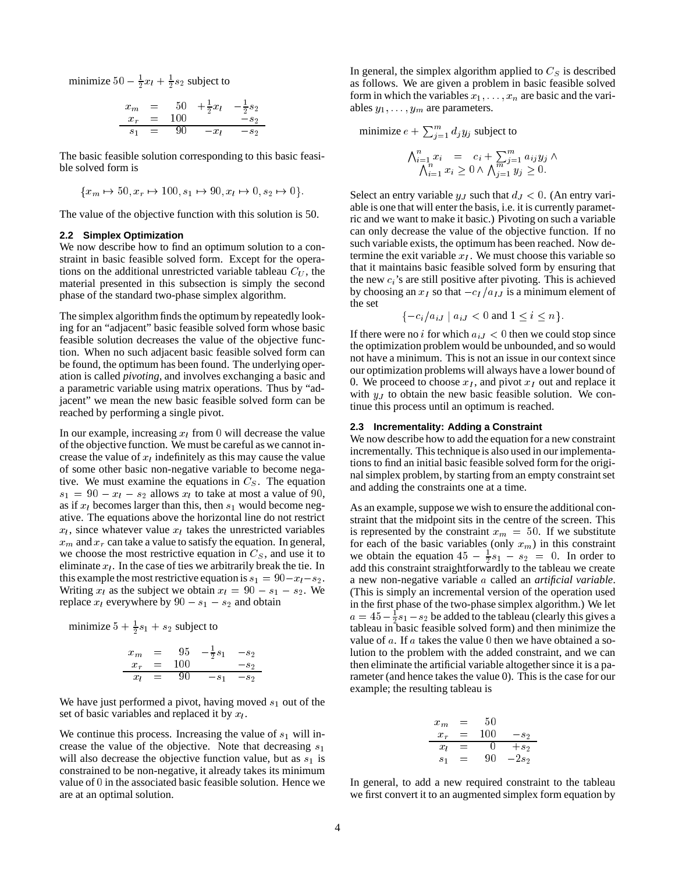minimize  $50 - \frac{1}{2}x_l + \frac{1}{2}s_2$  subject to

$$
\begin{array}{rcl}\nx_m & = & 50 + \frac{1}{2}x_l - \frac{1}{2}s_2 \\
x_r & = & 100 - s_2 \\
s_1 & = & 90 - x_l - s_2\n\end{array}
$$

The basic feasible solution corresponding to this basic feasible solved form is

$$
\{x_m \mapsto 50, x_r \mapsto 100, s_1 \mapsto 90, x_l \mapsto 0, s_2 \mapsto 0\}.
$$

The value of the objective function with this solution is 50.

#### **2.2 Simplex Optimization**

We now describe how to find an optimum solution to a constraint in basic feasible solved form. Except for the operations on the additional unrestricted variable tableau  $C_U$ , the material presented in this subsection is simply the second phase of the standard two-phase simplex algorithm.

The simplex algorithm finds the optimum by repeatedly looking for an "adjacent" basic feasible solved form whose basic feasible solution decreases the value of the objective function. When no such adjacent basic feasible solved form can be found, the optimum has been found. The underlying operation is called *pivoting*, and involves exchanging a basic and a parametric variable using matrix operations. Thus by "adjacent" we mean the new basic feasible solved form can be reached by performing a single pivot.

In our example, increasing  $x_l$  from 0 will decrease the value of the objective function. We must be careful as we cannot increase the value of  $x_l$  indefinitely as this may cause the value of some other basic non-negative variable to become negative. We must examine the equations in  $C<sub>S</sub>$ . The equation  $s_1 = 90 - x_l - s_2$  allows  $x_l$  to take at most a value of 90, as if  $x_l$  becomes larger than this, then  $s_1$  would become negative. The equations above the horizontal line do not restrict  $x_l$ , since whatever value  $x_l$  takes the unrestricted variables  $x<sub>m</sub>$  and  $x<sub>r</sub>$  can take a value to satisfy the equation. In general, we choose the most restrictive equation in  $C<sub>S</sub>$ , and use it to eliminate  $x_l$ . In the case of ties we arbitrarily break the tie. In this example the most restrictive equation is  $s_1 = 90 - x_1 - s_2$ . Writing  $x_l$  as the subject we obtain  $x_l = 90 - s_1 - s_2$ . We replace  $x_l$  everywhere by  $90 - s_1 - s_2$  and obtain

minimize  $5 + \frac{1}{2}s_1 + s_2$  subject to

$$
\begin{array}{rcl}\nx_m & = & 95 & -\frac{1}{2}s_1 & -s_2 \\
x_r & = & 100 & -s_2 \\
\hline\nx_l & = & 90 & -s_1 & -s_2\n\end{array}
$$

We have just performed a pivot, having moved  $s_1$  out of the set of basic variables and replaced it by  $x_l$ .

We continue this process. Increasing the value of  $s_1$  will increase the value of the objective. Note that decreasing  $s_1$ will also decrease the objective function value, but as  $s_1$  is constrained to be non-negative, it already takes its minimum value of <sup>0</sup> in the associated basic feasible solution. Hence we are at an optimal solution.

In general, the simplex algorithm applied to  $C_S$  is described as follows. We are given a problem in basic feasible solved form in which the variables  $x_1, \ldots, x_n$  are basic and the variables  $y_1, \ldots, y_m$  are parameters.

minimize 
$$
e + \sum_{j=1}^{m} d_j y_j
$$
 subject to  
\n
$$
\begin{aligned}\n\bigwedge_{i=1}^{n} x_i &= c_i + \sum_{j=1}^{m} a_{ij} y_j \wedge \\
\bigwedge_{i=1}^{n} x_i &\ge 0 \wedge \bigwedge_{j=1}^{m} y_j &\ge 0.\n\end{aligned}
$$

Select an entry variable  $y_J$  such that  $d_J < 0$ . (An entry variable is one that will enter the basis, i.e. it is currently parametric and we want to make it basic.) Pivoting on such a variable can only decrease the value of the objective function. If no such variable exists, the optimum has been reached. Now determine the exit variable  $x_I$ . We must choose this variable so that it maintains basic feasible solved form by ensuring that the new  $c_i$ 's are still positive after pivoting. This is achieved by choosing an  $x_I$  so that  $-c_I/a_{IJ}$  is a minimum element of the set

$$
\{-c_i/a_{iJ} \mid a_{iJ} < 0 \text{ and } 1 \le i \le n\}.
$$

If there were no i for which  $a_{iJ} < 0$  then we could stop since the optimization problem would be unbounded, and so would not have a minimum. This is not an issue in our context since our optimization problems will always have a lower bound of 0. We proceed to choose  $x_I$ , and pivot  $x_I$  out and replace it with  $y_J$  to obtain the new basic feasible solution. We continue this process until an optimum is reached.

#### **2.3 Incrementality: Adding a Constraint**

We now describe how to add the equation for a new constraint incrementally. This technique is also used in our implementations to find an initial basic feasible solved form for the original simplex problem, by starting from an empty constraint set and adding the constraints one at a time.

As an example, suppose we wish to ensure the additional constraint that the midpoint sits in the centre of the screen. This is represented by the constraint  $x_m = 50$ . If we substitute for each of the basic variables (only  $x_m$ ) in this constraint we obtain the equation  $45 - \frac{1}{2}s_1 - s_2 = 0$ . In order to add this constraint straightforwardly to the tableau we create a new non-negative variable <sup>a</sup> called an *artificial variable*. (This is simply an incremental version of the operation used in the first phase of the two-phase simplex algorithm.) We let  $a = 45 - \frac{1}{2}s_1 - s_2$  be added to the tableau (clearly this gives a tableau in basic feasible solved form) and then minimize the value of  $a$ . If  $a$  takes the value 0 then we have obtained a solution to the problem with the added constraint, and we can then eliminate the artificial variable altogether since it is a parameter (and hence takes the value 0). This is the case for our example; the resulting tableau is

$$
\begin{array}{rcl}\nx_m & = & 50 \\
x_r & = & 100 \quad -s_2 \\
x_l & = & 0 \quad +s_2 \\
s_1 & = & 90 \quad -2s_2\n\end{array}
$$

In general, to add a new required constraint to the tableau we first convert it to an augmented simplex form equation by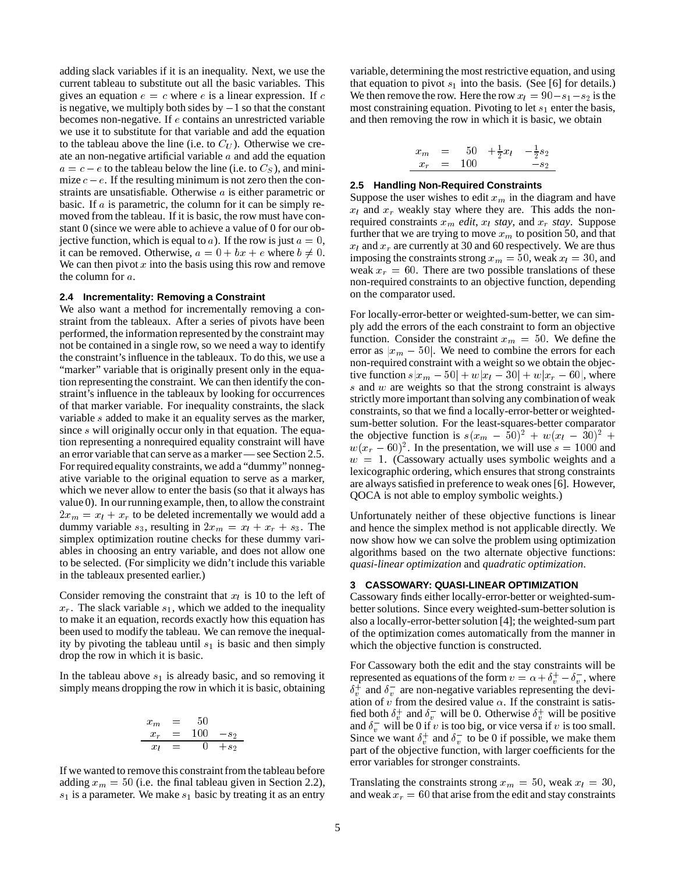adding slack variables if it is an inequality. Next, we use the current tableau to substitute out all the basic variables. This gives an equation  $e = c$  where e is a linear expression. If c is negative, we multiply both sides by  $-1$  so that the constant becomes non-negative. If <sup>e</sup> contains an unrestricted variable we use it to substitute for that variable and add the equation to the tableau above the line (i.e. to  $C_U$ ). Otherwise we create an non-negative artificial variable  $a$  and add the equation  $a = c - e$  to the tableau below the line (i.e. to  $C<sub>S</sub>$ ), and minimize  $c - e$ . If the resulting minimum is not zero then the constraints are unsatisfiable. Otherwise <sup>a</sup> is either parametric or basic. If  $\alpha$  is parametric, the column for it can be simply removed from the tableau. If it is basic, the row must have constant 0 (since we were able to achieve a value of 0 for our objective function, which is equal to a). If the row is just  $a = 0$ , it can be removed. Otherwise,  $a = 0 + bx + e$  where  $b \neq 0$ . We can then pivot  $x$  into the basis using this row and remove the column for <sup>a</sup>.

### **2.4 Incrementality: Removing a Constraint**

We also want a method for incrementally removing a constraint from the tableaux. After a series of pivots have been performed, the information represented by the constraint may not be contained in a single row, so we need a way to identify the constraint's influence in the tableaux. To do this, we use a "marker" variable that is originally present only in the equation representing the constraint. We can then identify the constraint's influence in the tableaux by looking for occurrences of that marker variable. For inequality constraints, the slack variable <sup>s</sup> added to make it an equality serves as the marker, since s will originally occur only in that equation. The equation representing a nonrequired equality constraint will have an error variable that can serve as a marker — see Section 2.5. For required equality constraints, we add a "dummy" nonnegative variable to the original equation to serve as a marker, which we never allow to enter the basis (so that it always has value 0). In our running example, then, to allow the constraint  $2x_m = x_l + x_r$  to be deleted incrementally we would add a dummy variable  $s_3$ , resulting in  $2x_m = x_l + x_r + s_3$ . The simplex optimization routine checks for these dummy variables in choosing an entry variable, and does not allow one to be selected. (For simplicity we didn't include this variable in the tableaux presented earlier.)

Consider removing the constraint that  $x_l$  is 10 to the left of  $x_r$ . The slack variable  $s_1$ , which we added to the inequality to make it an equation, records exactly how this equation has been used to modify the tableau. We can remove the inequality by pivoting the tableau until  $s_1$  is basic and then simply drop the row in which it is basic.

In the tableau above  $s_1$  is already basic, and so removing it simply means dropping the row in which it is basic, obtaining

$$
\begin{array}{rcl}\nx_m & = & 50 \\
x_r & = & 100 -s_2 \\
x_l & = & 0 +s_2\n\end{array}
$$

If we wanted to remove this constraint from the tableau before adding  $x_m = 50$  (i.e. the final tableau given in Section 2.2),  $s_1$  is a parameter. We make  $s_1$  basic by treating it as an entry

variable, determining the most restrictive equation, and using that equation to pivot  $s_1$  into the basis. (See [6] for details.) We then remove the row. Here the row  $x_l = 90 - s_1 - s_2$  is the most constraining equation. Pivoting to let  $s_1$  enter the basis, and then removing the row in which it is basic, we obtain

$$
\begin{array}{rcl}\nx_m & = & 50 & +\frac{1}{2}x_l & -\frac{1}{2}s_2 \\
x_r & = & 100 & -s_2\n\end{array}
$$

#### **2.5 Handling Non-Required Constraints**

Suppose the user wishes to edit  $x_m$  in the diagram and have  $x_l$  and  $x_r$  weakly stay where they are. This adds the nonrequired constraints  $x_m$  *edit*,  $x_l$  *stay*, and  $x_r$  *stay*. Suppose further that we are trying to move  $x_m$  to position 50, and that  $x_l$  and  $x_r$  are currently at 30 and 60 respectively. We are thus imposing the constraints strong  $x_m = 50$ , weak  $x_l = 30$ , and weak  $x_r = 60$ . There are two possible translations of these non-required constraints to an objective function, depending on the comparator used.

For locally-error-better or weighted-sum-better, we can simply add the errors of the each constraint to form an objective function. Consider the constraint  $x_m = 50$ . We define the error as  $|x_m - 50|$ . We need to combine the errors for each non-required constraint with a weight so we obtain the objective function  $s|x_m - 50| + w|x_l - 30| + w|x_r - 60|$ , where  $s$  and  $w$  are weights so that the strong constraint is always strictly more important than solving any combination of weak constraints, so that we find a locally-error-better or weightedsum-better solution. For the least-squares-better comparator the objective function is  $s(x_m - 50)^2 + w(x_l - 30)^2 +$  $w(x_r - 60)^2$ . In the presentation, we will use  $s = 1000$  and  $w = 1$ . (Cassowary actually uses symbolic weights and a lexicographic ordering, which ensures that strong constraints are always satisfied in preference to weak ones [6]. However, QOCA is not able to employ symbolic weights.)

Unfortunately neither of these objective functions is linear and hence the simplex method is not applicable directly. We now show how we can solve the problem using optimization algorithms based on the two alternate objective functions: *quasi-linear optimization* and *quadratic optimization*.

## **3 CASSOWARY: QUASI-LINEAR OPTIMIZATION**

Cassowary finds either locally-error-better or weighted-sumbetter solutions. Since every weighted-sum-better solution is also a locally-error-better solution [4]; the weighted-sum part of the optimization comes automatically from the manner in which the objective function is constructed.

For Cassowary both the edit and the stay constraints will be represented as equations of the form  $v = \alpha + \delta_v^+ - \delta_v^-$ , where  $\delta_v^+$  and  $\delta_v^-$  are non-negative variables representing the deviation of v from the desired value  $\alpha$ . If the constraint is satisfied both  $\delta_v^+$  and  $\delta_v^-$  will be 0. Otherwise  $\delta_v^+$  will be positive and  $\delta_v^-$  will be 0 if v is too big, or vice versa if v is too small. Since we want  $\delta_v^+$  and  $\delta_v^-$  to be 0 if possible, we make them part of the objective function, with larger coefficients for the error variables for stronger constraints.

Translating the constraints strong  $x_m = 50$ , weak  $x_l = 30$ , and weak  $x_r = 60$  that arise from the edit and stay constraints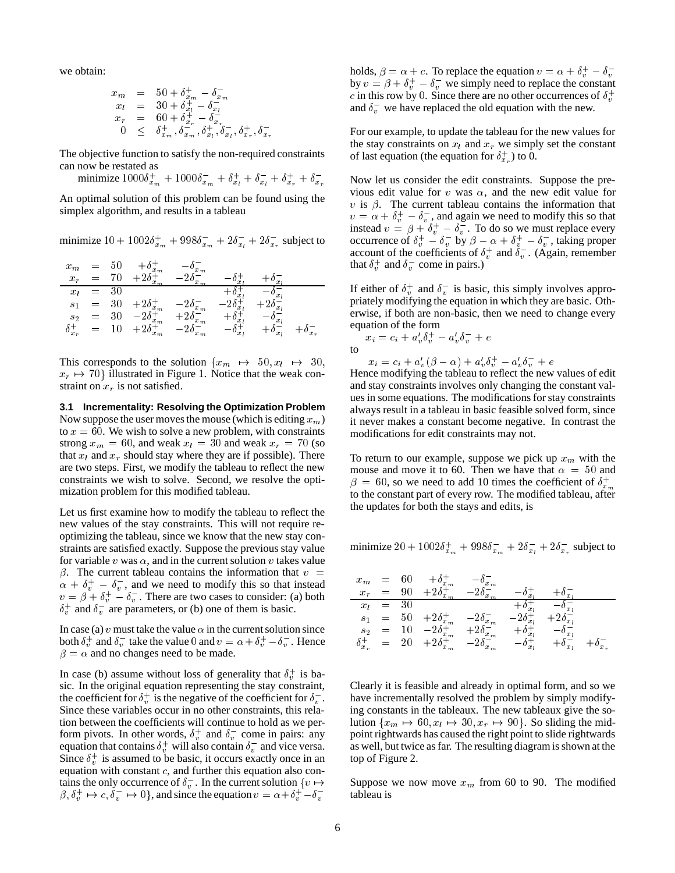we obtain:

$$
\begin{array}{rcl}\nx_m & = & 50 + \delta_{x_m}^+ - \delta_{x_m}^- \\
x_l & = & 30 + \delta_{x_l}^+ - \delta_{x_l}^- \\
x_r & = & 60 + \delta_{x_r}^+ - \delta_{x_r}^- \\
0 & \leq & \delta_{x_m}^+, \delta_{x_m}^-, \delta_{x_l}^+, \delta_{x_l}^-, \delta_{x_r}^+, \delta_{x_r}^-\n\end{array}
$$

The objective function to satisfy the non-required constraints can now be restated as

minimize  $1000\delta_{x_m}^+ + 1000\delta_{x_m}^- + \delta_{x_l}^+ + \delta_{x_l}^- + \delta_{x_r}^+ + \delta_{x_r}^-$ 

An optimal solution of this problem can be found using the simplex algorithm, and results in a tableau

minimize  $10 + 1002\delta_{x_m}^+ + 998\delta_{x_m}^- + 2\delta_{x_l}^- + 2\delta_{x_r}^-$  subject to

| $x_m$            |     |    | $x_m$              | $x_m$   |       |                         |             |
|------------------|-----|----|--------------------|---------|-------|-------------------------|-------------|
| $x_r$            |     |    | $x_{m}$            | $x_{m}$ |       |                         |             |
| $x_l$            | =   | 30 |                    |         | x     |                         |             |
| S <sub>1</sub>   | $=$ | 30 | $+2\delta_{x_m}^+$ | $x_m$   | x     | $\Delta \delta_{x_2}^-$ |             |
| $S_{2}$          | $=$ |    | $x_m$              | $x_m$   |       | $x_1$                   |             |
| $\delta_{x_r}^+$ |     |    | $2\delta_{x_m}^+$  | $x_m$   | $x_1$ | $x_l$                   | $\circ x_r$ |

This corresponds to the solution  $\{x_m \rightarrow 50, x_l \rightarrow 30\}$  $x_r \mapsto 70$  illustrated in Figure 1. Notice that the weak constraint on  $x_r$  is not satisfied.

**3.1 Incrementality: Resolving the Optimization Problem** Now suppose the user moves the mouse (which is editing  $x_m$ ) to  $x = 60$ . We wish to solve a new problem, with constraints strong  $x_m = 60$ , and weak  $x_l = 30$  and weak  $x_r = 70$  (so that  $x_l$  and  $x_r$  should stay where they are if possible). There are two steps. First, we modify the tableau to reflect the new constraints we wish to solve. Second, we resolve the optimization problem for this modified tableau.

Let us first examine how to modify the tableau to reflect the new values of the stay constraints. This will not require reoptimizing the tableau, since we know that the new stay constraints are satisfied exactly. Suppose the previous stay value for variable v was  $\alpha$ , and in the current solution v takes value  $\beta$ . The current tableau contains the information that  $v =$  $\alpha + \delta_v^+ - \delta_v^-$ , and we need to modify this so that instead  $v = \beta + \delta_v^+ - \delta_v^-$ . There are two cases to consider: (a) both  $\delta_v^+$  and  $\delta_v^-$  are parameters, or (b) one of them is basic.

In case (a) v must take the value  $\alpha$  in the current solution since both  $\delta_v^+$  and  $\delta_v^-$  take the value 0 and  $v = \alpha + \delta_v^+ - \delta_v^-$ . Hence  $\beta = \alpha$  and no changes need to be made.

In case (b) assume without loss of generality that  $\delta_v^+$  is basic. In the original equation representing the stay constraint, the coefficient for  $\delta_v^+$  is the negative of the coefficient for  $\delta_v^-$ . Since these variables occur in no other constraints, this relation between the coefficients will continue to hold as we perform pivots. In other words,  $\delta_v^+$  and  $\delta_v^-$  come in pairs: any equation that contains  $\delta_v^+$  will also contain  $\delta_v^-$  and vice versa. Since  $\delta_v^+$  is assumed to be basic, it occurs exactly once in an equation with constant  $c$ , and further this equation also contains the only occurrence of  $\delta_v^-$ . In the current solution  $\{v \mapsto$  $\beta, \delta_v^+ \mapsto c, \delta_v^- \mapsto 0$ , and since the equation  $v = \alpha + \delta_v^+ - \delta_v^-$ 

holds,  $\beta = \alpha + c$ . To replace the equation  $v = \alpha + \delta_v^+ - \delta_v^$ by  $v = \beta + \delta_v^+ - \delta_v^-$  we simply need to replace the constant c in this row by 0. Since there are no other occurrences of  $\delta_v^+$ and  $\delta_v^-$  we have replaced the old equation with the new.

For our example, to update the tableau for the new values for the stay constraints on  $x_l$  and  $x_r$  we simply set the constant of last equation (the equation for  $\delta_{x_r}^+$ ) to 0.

Now let us consider the edit constraints. Suppose the previous edit value for v was  $\alpha$ , and the new edit value for v is  $\beta$ . The current tableau contains the information that  $v = \alpha + \delta_v^+ - \delta_v^-$ , and again we need to modify this so that instead  $v = \beta + \delta_v^+ - \delta_v^-$ . To do so we must replace every occurrence of  $\delta_v^+ - \delta_v^-$  by  $\beta - \alpha + \delta_v^+ - \delta_v^-$ , taking proper account of the coefficients of  $\delta_v^+$  and  $\delta_v^-$ . (Again, remember that  $\delta_v^+$  and  $\delta_v^-$  come in pairs.)

If either of  $\delta_v^+$  and  $\delta_v^-$  is basic, this simply involves appropriately modifying the equation in which they are basic. Otherwise, if both are non-basic, then we need to change every equation of the form

$$
x_i = c_i + a'_v \delta_v^+ - a'_v \delta_v^- + e
$$

 $x_i = c_i + a_{i}(p - \alpha) + a_{i}(o_{i} - a_{i}(o_{i} + e_{i}))$ Hence modifying the tableau to reflect the new values of edit

and stay constraints involves only changing the constant values in some equations. The modifications for stay constraints always result in a tableau in basic feasible solved form, since it never makes a constant become negative. In contrast the modifications for edit constraints may not.

To return to our example, suppose we pick up  $x_m$  with the mouse and move it to 60. Then we have that  $\alpha = 50$  and  $\beta = 60$ , so we need to add 10 times the coefficient of  $\delta_{r}^{+}$ to the constant part of every row. The modified tableau, after the updates for both the stays and edits, is

minimize  $20 + 1002\delta_{x_m}^+ + 998\delta_{x_m}^- + 2\delta_{x_l}^- + 2\delta_{x_r}^-$  subject to

| $x_m$            |     |    | $x_m$                | $x_m$ |                |       |         |
|------------------|-----|----|----------------------|-------|----------------|-------|---------|
| $x_r$            |     |    |                      |       |                |       |         |
| $x_I$            | —   | 30 |                      |       |                |       |         |
| S <sub>1</sub>   | $=$ | 50 | $20_{x_m}^{\dagger}$ | $x_m$ |                |       |         |
| $S_{2}$          |     |    | $x_m$                | $x_m$ |                |       |         |
| $\delta_{x_r}^+$ |     |    | $x_m$                | $x_m$ | $\overline{x}$ | $x_1$ | $x_{r}$ |

Clearly it is feasible and already in optimal form, and so we have incrementally resolved the problem by simply modifying constants in the tableaux. The new tableaux give the solution  $\{x_m \mapsto 60, x_l \mapsto 30, x_r \mapsto 90\}$ . So sliding the midpoint rightwards has caused the right point to slide rightwards as well, but twice as far. The resulting diagram is shown at the top of Figure 2.

Suppose we now move  $x_m$  from 60 to 90. The modified tableau is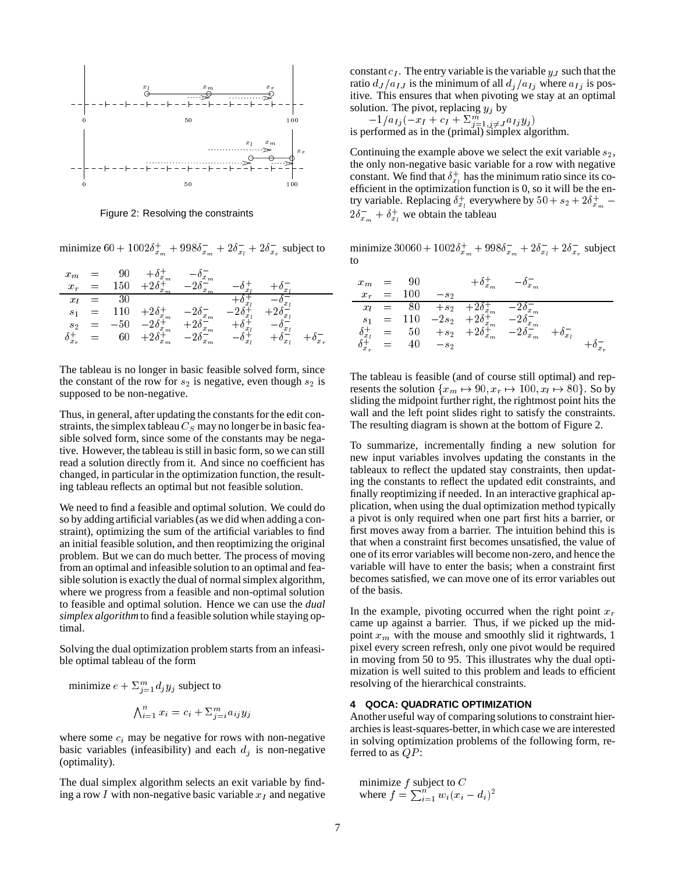

Figure 2: Resolving the constraints

minimize  $60 + 1002\delta_{x_m}^+ + 998\delta_{x_m}^- + 2\delta_{x_t}^- + 2\delta_{x_r}^-$  subject to  $\cdots$ 

| $x_m$          |  | $x_m$                   | $x_m$ |       |                  |         |
|----------------|--|-------------------------|-------|-------|------------------|---------|
| $x_r$          |  |                         |       |       |                  |         |
| $x_l$          |  |                         |       |       |                  |         |
| S <sub>1</sub> |  | $-2\delta_{x_m}^+$      | $x_m$ |       |                  |         |
| s <sub>2</sub> |  | $x_m$                   | $x_m$ |       | $\boldsymbol{x}$ |         |
| $\delta_{x_r}$ |  | $-2\delta_x^+$<br>$x_m$ | $x_m$ | $x_l$ | $x_1$            | $x_{r}$ |

The tableau is no longer in basic feasible solved form, since the constant of the row for  $s_2$  is negative, even though  $s_2$  is supposed to be non-negative.

Thus, in general, after updating the constants for the edit constraints, the simplex tableau  $C_S$  may no longer be in basic feasible solved form, since some of the constants may be negative. However, the tableau is still in basic form, so we can still read a solution directly from it. And since no coefficient has changed, in particular in the optimization function, the resulting tableau reflects an optimal but not feasible solution.

We need to find a feasible and optimal solution. We could do so by adding artificial variables (as we did when adding a constraint), optimizing the sum of the artificial variables to find an initial feasible solution, and then reoptimizing the original problem. But we can do much better. The process of moving from an optimal and infeasible solution to an optimal and feasible solution is exactly the dual of normal simplex algorithm, where we progress from a feasible and non-optimal solution to feasible and optimal solution. Hence we can use the *dual simplex algorithm* to find a feasible solution while staying optimal.

Solving the dual optimization problem starts from an infeasible optimal tableau of the form

minimize 
$$
e + \sum_{j=1}^{m} d_j y_j
$$
 subject to  
\n
$$
\bigwedge_{i=1}^{n} x_i = c_i + \sum_{j=i}^{m} a_{ij} y_j
$$

where some  $c_i$  may be negative for rows with non-negative basic variables (infeasibility) and each  $d_j$  is non-negative (optimality).

The dual simplex algorithm selects an exit variable by finding a row I with non-negative basic variable  $x_I$  and negative constant  $c_I$ . The entry variable is the variable  $y_J$  such that the ratio  $d_J/a_{IJ}$  is the minimum of all  $d_j/a_{Ij}$  where  $a_{Ij}$  is positive. This ensures that when pivoting we stay at an optimal solution. The pivot, replacing  $y_j$  by

 $-1/u_{Ij}(-x_I + c_I + 2j=1, j \neq J} u_{Ij}y_j)$ <br>is performed as in the (primal) simplex algorithm.

Continuing the example above we select the exit variable  $s_2$ , the only non-negative basic variable for a row with negative constant. We find that  $\delta_{x_l}^+$  has the minimum ratio since its coefficient in the optimization function is 0, so it will be the entry variable. Replacing  $\delta_{x_l}^+$  everywhere by  $50 + s_2 + 2\delta_{x_m}^+$  –  $2\delta_{x_m}^- + \delta_{x_l}^+$  we obtain the tableau

minimize  $30060 + 1002\delta_{x_m}^+ + 998\delta_{x_m}^- + 2\delta_{x_l}^- + 2\delta_{x_r}^-$  subject to

| $x_m$            | $=$     |     |         | $x_m$                       | $x_m$ |                       |         |
|------------------|---------|-----|---------|-----------------------------|-------|-----------------------|---------|
| $x_r$            | $=$     | 100 | $- s_2$ |                             |       |                       |         |
| $x_l$            | $=$ $-$ | ጸበ  | $+s2$   | $+2\delta_{x_m}^+$          | $x_m$ |                       |         |
| S <sub>1</sub>   | $=$     | 110 | $-2s_2$ | $+2\delta_{r}^{+}$<br>$x_m$ | $x_m$ |                       |         |
| $\delta_{x_l}^+$ | $=$     | 50  | $+ s_2$ | $+2\delta_{x_m}^+$          | $x_m$ | $-\delta_{x_{l}}^{-}$ |         |
| $\delta_{x_r}^+$ | $=$     |     | $-s2$   |                             |       |                       | $x_{r}$ |

The tableau is feasible (and of course still optimal) and represents the solution  $\{x_m \mapsto 90, x_r \mapsto 100, x_l \mapsto 80\}$ . So by sliding the midpoint further right, the rightmost point hits the wall and the left point slides right to satisfy the constraints. The resulting diagram is shown at the bottom of Figure 2.

To summarize, incrementally finding a new solution for new input variables involves updating the constants in the tableaux to reflect the updated stay constraints, then updating the constants to reflect the updated edit constraints, and finally reoptimizing if needed. In an interactive graphical application, when using the dual optimization method typically a pivot is only required when one part first hits a barrier, or first moves away from a barrier. The intuition behind this is that when a constraint first becomes unsatisfied, the value of one of its error variables will become non-zero, and hence the variable will have to enter the basis; when a constraint first becomes satisfied, we can move one of its error variables out of the basis.

In the example, pivoting occurred when the right point  $x_r$ came up against a barrier. Thus, if we picked up the midpoint  $x_m$  with the mouse and smoothly slid it rightwards, 1 pixel every screen refresh, only one pivot would be required in moving from 50 to 95. This illustrates why the dual optimization is well suited to this problem and leads to efficient resolving of the hierarchical constraints.

## **4 QOCA: QUADRATIC OPTIMIZATION**

Another useful way of comparing solutions to constraint hierarchies is least-squares-better, in which case we are interested in solving optimization problems of the following form, referred to as  $QP$ :

minimize  $f$  subject to  $C$ where  $f = \sum_{i=1}^{n} w_i (x_i - d_i)^2$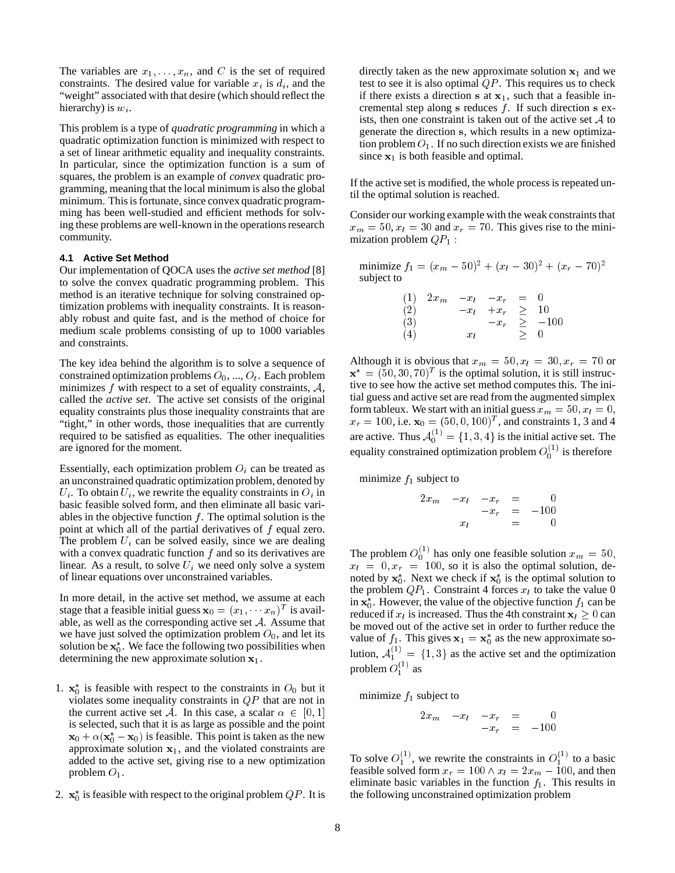The variables are  $x_1, \ldots, x_n$ , and C is the set of required constraints. The desired value for variable  $x_i$  is  $d_i$ , and the "weight" associated with that desire (which should reflect the hierarchy) is  $w_i$ .

This problem is a type of *quadratic programming* in which a quadratic optimization function is minimized with respect to a set of linear arithmetic equality and inequality constraints. In particular, since the optimization function is a sum of squares, the problem is an example of *convex* quadratic programming, meaning that the local minimum is also the global minimum. This is fortunate, since convex quadratic programming has been well-studied and efficient methods for solving these problems are well-known in the operations research community.

#### **4.1 Active Set Method**

Our implementation of QOCA uses the *active set method* [8] to solve the convex quadratic programming problem. This method is an iterative technique for solving constrained optimization problems with inequality constraints. It is reasonably robust and quite fast, and is the method of choice for medium scale problems consisting of up to 1000 variables and constraints.

The key idea behind the algorithm is to solve a sequence of constrained optimization problems  $O_0$ , ...,  $O_t$ . Each problem minimizes  $f$  with respect to a set of equality constraints,  $A$ , called the *active set*. The active set consists of the original equality constraints plus those inequality constraints that are "tight," in other words, those inequalities that are currently required to be satisfied as equalities. The other inequalities are ignored for the moment.

Essentially, each optimization problem  $O_i$  can be treated as an unconstrained quadratic optimization problem, denoted by  $U_i$ . To obtain  $U_i$ , we rewrite the equality constraints in  $O_i$  in basic feasible solved form, and then eliminate all basic variables in the objective function  $f$ . The optimal solution is the point at which all of the partial derivatives of <sup>f</sup> equal zero. The problem  $U_i$  can be solved easily, since we are dealing with a convex quadratic function  $f$  and so its derivatives are linear. As a result, to solve  $U_i$  we need only solve a system of linear equations over unconstrained variables.

In more detail, in the active set method, we assume at each stage that a feasible initial guess  $\mathbf{x}_0 = (x_1, \dots, x_n)^T$  is available, as well as the corresponding active set  $A$ . Assume that we have just solved the optimization problem  $O_0$ , and let its solution be  $x_0^*$ . We face the following two possibilities when determining the new approximate solution  $x_1$ .

- 1.  $x_0^*$  is feasible with respect to the constraints in  $O_0$  but it violates some inequality constraints in  $QP$  that are not in the current active set A. In this case, a scalar  $\alpha \in [0, 1]$ is selected, such that it is as large as possible and the point  $\mathbf{x}_0 + \alpha (\mathbf{x}_0^* - \mathbf{x}_0)$  is feasible. This point is taken as the new approximate solution  $x_1$ , and the violated constraints are added to the active set, giving rise to a new optimization problem  $O_1$ .
- 2.  $\mathbf{x}_0^*$  is feasible with respect to the original problem  $QP$ . It is

directly taken as the new approximate solution  $x_1$  and we test to see it is also optimal  $QP$ . This requires us to check if there exists a direction s at  $x_1$ , such that a feasible incremental step along s reduces  $f$ . If such direction s exists, then one constraint is taken out of the active set  $A$  to generate the direction <sup>s</sup>, which results in a new optimization problem  $O_1$ . If no such direction exists we are finished since  $x_1$  is both feasible and optimal.

If the active set is modified, the whole process is repeated until the optimal solution is reached.

Consider our working example with the weak constraints that  $x_m = 50$ ,  $x_l = 30$  and  $x_r = 70$ . This gives rise to the minimization problem  $QP_1$  :

minimize  $f_1 = (x_m - 50)^2 + (x_l - 30)^2 + (x_r - 70)^2$ subject to

| (1) | $2x_m$ |        | $-x_l$ $-x_r$ | $\equiv$ |             |
|-----|--------|--------|---------------|----------|-------------|
| (2) |        | $-x_l$ | $+x_r$ $\geq$ |          | 10          |
| (3) |        |        | $-x_r$        |          | $\geq -100$ |
| (4) |        | $x_l$  |               | ➢        | 0           |

Although it is obvious that  $x_m = 50, x_l = 30, x_r = 70$  or  $\mathbf{x}^* = (50, 30, 70)^T$  is the optimal solution, it is still instructive to see how the active set method computes this. The initial guess and active set are read from the augmented simplex form tableux. We start with an initial guess  $x_m = 50, x_l = 0$ ,  $x_r = 100$ , i.e.  $\mathbf{x}_0 = (50, 0, 100)^T$ , and constraints 1, 3 and 4 are active. Thus  $\mathcal{A}_0^{(1)} = \{1, 3, 4\}$  is the initial active set. The equality constrained optimization problem  $O_0^{(1)}$  is therefore

minimize  $f_1$  subject to

$$
\begin{array}{rcl}\n2x_m & -x_l & -x_r & = & 0 \\
& -x_r & = & -100 \\
x_l & = & 0\n\end{array}
$$

The problem  $O_0^{(1)}$  has only one feasible solution  $x_m = 50$ ,  $x_l = 0, x_r = 100$ , so it is also the optimal solution, denoted by  $x_0^*$ . Next we check if  $x_0^*$  is the optimal solution to the problem  $QP_1$ . Constraint 4 forces  $x_l$  to take the value 0 in  $x_0^*$ . However, the value of the objective function  $f_1$  can be reduced if  $x_l$  is increased. Thus the 4th constraint  $x_l \geq 0$  can be moved out of the active set in order to further reduce the value of  $f_1$ . This gives  $x_1 = x_0^*$  as the new approximate solution,  $A_1^{(1)} = \{1,3\}$  as the active set and the optimization problem  $O_1^{(1)}$  as

minimize  $f_1$  subject to

$$
\begin{array}{rcl}\n2x_m & -x_l & -x_r & = & 0 \\
-x_r & = & -100\n\end{array}
$$

To solve  $O_1^{(1)}$ , we rewrite the constraints in  $O_1^{(1)}$  to a basic feasible solved form  $x_r = 100 \wedge x_l = 2x_m - 100$ , and then eliminate basic variables in the function  $f_1$ . This results in the following unconstrained optimization problem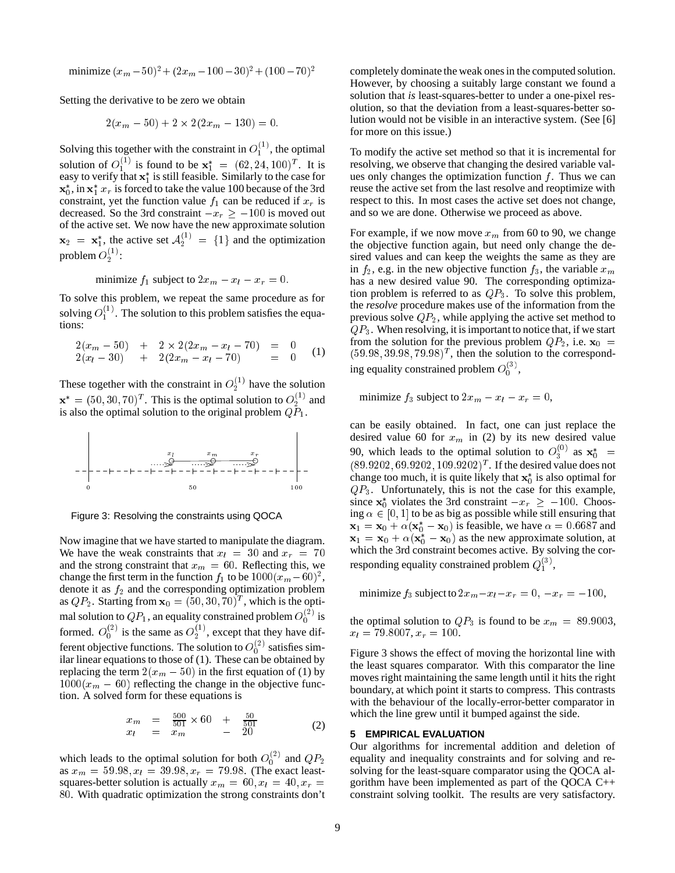minimize  $(x_m - 50)^2 + (2x_m - 100 - 30)^2 + (100 - 70)^2$ 

Setting the derivative to be zero we obtain

$$
2(x_m - 50) + 2 \times 2(2x_m - 130) = 0.
$$

Solving this together with the constraint in  $O_1^{(1)}$ , the optimal solution of  $O_1^{(1)}$  is found to be  $x_1^* = (62, 24, 100)^T$ . It is easy to verify that  $x_1^*$  is still feasible. Similarly to the case for  $x_0^*$ , in  $x_1^*$   $x_r$  is forced to take the value 100 because of the 3rd constraint, yet the function value  $f_1$  can be reduced if  $x_r$  is decreased. So the 3rd constraint  $-x_r \ge -100$  is moved out of the active set. We now have the new approximate solution  $x_2 = x_1^*$ , the active set  $A_2^{(1)} = \{1\}$  and the optimization problem  $O_2^{(1)}$ :

minimize  $f_1$  subject to  $2x_m - x_l - x_r = 0$ .

To solve this problem, we repeat the same procedure as for solving  $O_1^{(1)}$ . The solution to this problem satisfies the equations:

$$
2(xm - 50) + 2 \times 2(2xm - xl - 70) = 0 2(xl - 30) + 2(2xm - xl - 70) = 0 (1)
$$

These together with the constraint in  $O_2^{(1)}$  have the solution  $\mathbf{x}^* = (50, 30, 70)^T$ . This is the optimal solution to  $O_2^{(1)}$  and is also the optimal solution to the original problem  $Q\bar{P}_1$ .



Figure 3: Resolving the constraints using QOCA

Now imagine that we have started to manipulate the diagram. We have the weak constraints that  $x_l = 30$  and  $x_r = 70$ and the strong constraint that  $x_m = 60$ . Reflecting this, we change the first term in the function  $f_1$  to be  $1000(x_m-60)^2$ , denote it as  $f_2$  and the corresponding optimization problem as  $QP_2$ . Starting from  $\mathbf{x}_0 = (50, 30, 70)^T$ , which is the optimal solution to  $QP_1$ , an equality constrained problem  $O_0^{(2)}$  is formed.  $O_0^{(2)}$  is the same as  $O_2^{(1)}$ , except that they have different objective functions. The solution to  $O_0^{(2)}$  satisfies similar linear equations to those of (1). These can be obtained by replacing the term  $2(x_m - 50)$  in the first equation of (1) by  $1000(x_m - 60)$  reflecting the change in the objective function. A solved form for these equations is

$$
\begin{array}{rcl}\nx_m & = & \frac{500}{501} \times 60 + \frac{50}{501} \\
x_l & = & x_m - 20\n\end{array} \tag{2}
$$

which leads to the optimal solution for both  $O_0^{(2)}$  and  $QP_2$ as  $x_m = 59.98, x_l = 39.98, x_r = 79.98$ . (The exact leastsquares-better solution is actually  $x_m = 60, x_l = 40, x_r =$ <sup>80</sup>. With quadratic optimization the strong constraints don't

To modify the active set method so that it is incremental for resolving, we observe that changing the desired variable values only changes the optimization function  $f$ . Thus we can reuse the active set from the last resolve and reoptimize with respect to this. In most cases the active set does not change, and so we are done. Otherwise we proceed as above.

For example, if we now move  $x_m$  from 60 to 90, we change the objective function again, but need only change the desired values and can keep the weights the same as they are in  $f_2$ , e.g. in the new objective function  $f_3$ , the variable  $x_m$ has a new desired value 90. The corresponding optimization problem is referred to as  $QP_3$ . To solve this problem, the *resolve* procedure makes use of the information from the previous solve  $QP_2$ , while applying the active set method to  $QP_3$ . When resolving, it is important to notice that, if we start from the solution for the previous problem  $QP_2$ , i.e.  $x_0$  =  $(59.98, 39.98, 79.98)^T$ , then the solution to the corresponding equality constrained problem  $O_0^{(3)}$ ,

minimize  $f_3$  subject to  $2x_m - x_l - x_r = 0$ ,

can be easily obtained. In fact, one can just replace the desired value 60 for  $x_m$  in (2) by its new desired value 90, which leads to the optimal solution to  $O_3^{(0)}$  as  $x_0^*$  =  $(89.9202, 69.9202, 109.9202)^T$ . If the desired value does not change too much, it is quite likely that  $x_0^*$  is also optimal for  $QP_3$ . Unfortunately, this is not the case for this example, since  $x_0^*$  violates the 3rd constraint  $-x_r \ge -100$ . Choosing  $\alpha \in [0, 1]$  to be as big as possible while still ensuring that  $\mathbf{x}_1 = \mathbf{x}_0 + \alpha(\mathbf{x}_0^* - \mathbf{x}_0)$  is feasible, we have  $\alpha = 0.6687$  and  $x_1 = x_0 + \alpha (x_0^* - x_0)$  as the new approximate solution, at which the 3rd constraint becomes active. By solving the corresponding equality constrained problem  $Q_1^{(3)}$ ,

minimize  $f_3$  subject to  $2x_m - x_l - x_r = 0, -x_r = -100$ ,

the optimal solution to  $QP_3$  is found to be  $x_m = 89.9003$ ,  $x_l = 79.8007, x_r = 100.$ 

Figure 3 shows the effect of moving the horizontal line with the least squares comparator. With this comparator the line moves right maintaining the same length until it hits the right boundary, at which point it starts to compress. This contrasts with the behaviour of the locally-error-better comparator in which the line grew until it bumped against the side.

## **5 EMPIRICAL EVALUATION**

Our algorithms for incremental addition and deletion of equality and inequality constraints and for solving and resolving for the least-square comparator using the QOCA algorithm have been implemented as part of the QOCA C++ constraint solving toolkit. The results are very satisfactory.